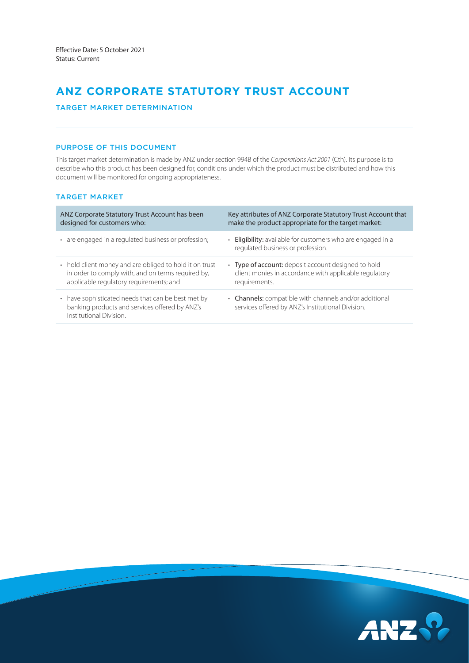# **ANZ CORPORATE STATUTORY TRUST ACCOUNT**

# TARGET MARKET DETERMINATION

## PURPOSE OF THIS DOCUMENT

This target market determination is made by ANZ under section 994B of the *Corporations Act 2001* (Cth). Its purpose is to describe who this product has been designed for, conditions under which the product must be distributed and how this document will be monitored for ongoing appropriateness.

# TARGET MARKET

| ANZ Corporate Statutory Trust Account has been                                                                                  | Key attributes of ANZ Corporate Statutory Trust Account that                                                |
|---------------------------------------------------------------------------------------------------------------------------------|-------------------------------------------------------------------------------------------------------------|
| designed for customers who:                                                                                                     | make the product appropriate for the target market:                                                         |
| • are engaged in a regulated business or profession;                                                                            | Eligibility: available for customers who are engaged in a<br>regulated business or profession.              |
| • hold client money and are obliged to hold it on trust                                                                         | • Type of account: deposit account designed to hold                                                         |
| in order to comply with, and on terms required by,                                                                              | client monies in accordance with applicable regulatory                                                      |
| applicable regulatory requirements; and                                                                                         | requirements.                                                                                               |
| • have sophisticated needs that can be best met by<br>banking products and services offered by ANZ's<br>Institutional Division. | • Channels: compatible with channels and/or additional<br>services offered by ANZ's Institutional Division. |

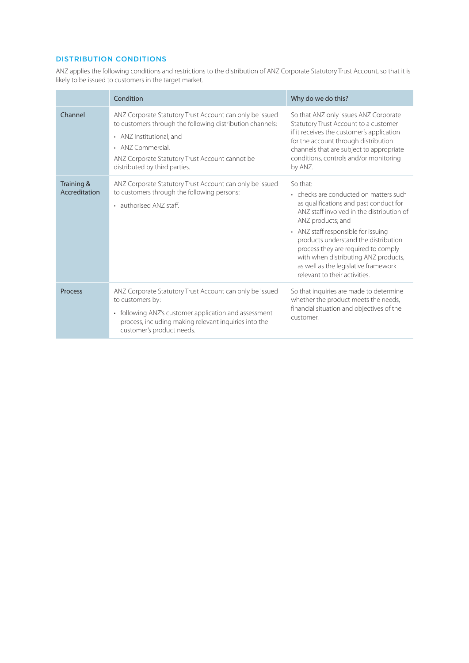# DISTRIBUTION CONDITIONS

ANZ applies the following conditions and restrictions to the distribution of ANZ Corporate Statutory Trust Account, so that it is likely to be issued to customers in the target market.

|                             | Condition                                                                                                                                                                                                                                                  | Why do we do this?                                                                                                                                                                                                                                                                                                                                                                                    |  |
|-----------------------------|------------------------------------------------------------------------------------------------------------------------------------------------------------------------------------------------------------------------------------------------------------|-------------------------------------------------------------------------------------------------------------------------------------------------------------------------------------------------------------------------------------------------------------------------------------------------------------------------------------------------------------------------------------------------------|--|
| Channel                     | ANZ Corporate Statutory Trust Account can only be issued<br>to customers through the following distribution channels:<br>• ANZ Institutional; and<br>• ANZ Commercial.<br>ANZ Corporate Statutory Trust Account cannot be<br>distributed by third parties. | So that ANZ only issues ANZ Corporate<br>Statutory Trust Account to a customer<br>if it receives the customer's application<br>for the account through distribution<br>channels that are subject to appropriate<br>conditions, controls and/or monitoring<br>by ANZ.                                                                                                                                  |  |
| Training &<br>Accreditation | ANZ Corporate Statutory Trust Account can only be issued<br>to customers through the following persons:<br>• authorised ANZ staff.                                                                                                                         | So that:<br>• checks are conducted on matters such<br>as qualifications and past conduct for<br>ANZ staff involved in the distribution of<br>ANZ products; and<br>• ANZ staff responsible for issuing<br>products understand the distribution<br>process they are required to comply<br>with when distributing ANZ products,<br>as well as the legislative framework<br>relevant to their activities. |  |
| Process                     | ANZ Corporate Statutory Trust Account can only be issued<br>to customers by:<br>following ANZ's customer application and assessment<br>$\bullet$<br>process, including making relevant inquiries into the<br>customer's product needs.                     | So that inquiries are made to determine<br>whether the product meets the needs,<br>financial situation and objectives of the<br>customer.                                                                                                                                                                                                                                                             |  |